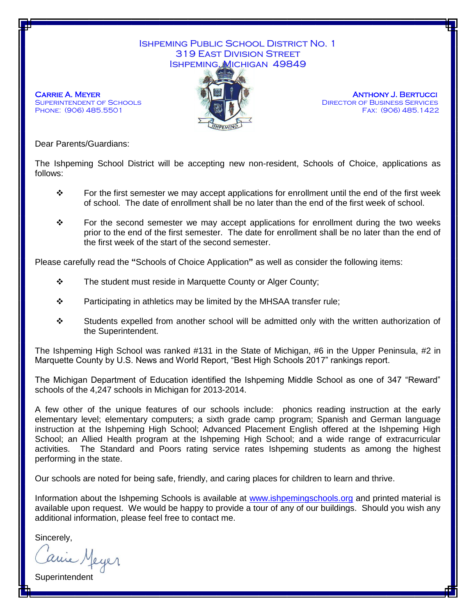## Ishpeming Public School District No. 1 319 East Division Street Ishpeming, Michigan 49849



**CARRIE A. MEYER ANTHONY J. BERTUCCI** SUPERINTENDENT OF SCHOOLS **EXECUTE:** THE MILL THE DIRECTOR OF BUSINESS SERVICES PHONE: (906) 485.5501 **Fax: (906) 485.1422** 

Dear Parents/Guardians:

The Ishpeming School District will be accepting new non-resident, Schools of Choice, applications as follows:

- For the first semester we may accept applications for enrollment until the end of the first week of school. The date of enrollment shall be no later than the end of the first week of school.
- $\div$  For the second semester we may accept applications for enrollment during the two weeks prior to the end of the first semester. The date for enrollment shall be no later than the end of the first week of the start of the second semester.

Please carefully read the **"**Schools of Choice Application**"** as well as consider the following items:

- \* The student must reside in Marquette County or Alger County;
- $\div$  Participating in athletics may be limited by the MHSAA transfer rule;
- $\div$  Students expelled from another school will be admitted only with the written authorization of the Superintendent.

The Ishpeming High School was ranked #131 in the State of Michigan, #6 in the Upper Peninsula, #2 in Marquette County by U.S. News and World Report, "Best High Schools 2017" rankings report.

The Michigan Department of Education identified the Ishpeming Middle School as one of 347 "Reward" schools of the 4,247 schools in Michigan for 2013-2014.

A few other of the unique features of our schools include: phonics reading instruction at the early elementary level; elementary computers; a sixth grade camp program; Spanish and German language instruction at the Ishpeming High School; Advanced Placement English offered at the Ishpeming High School; an Allied Health program at the Ishpeming High School; and a wide range of extracurricular activities. The Standard and Poors rating service rates Ishpeming students as among the highest performing in the state.

Our schools are noted for being safe, friendly, and caring places for children to learn and thrive.

Information about the Ishpeming Schools is available at [www.ishpemingschools.org](http://www.ishpemingschools.org/) and printed material is available upon request. We would be happy to provide a tour of any of our buildings. Should you wish any additional information, please feel free to contact me.

Sincerely,<br>Carrie Meyer

Superintendent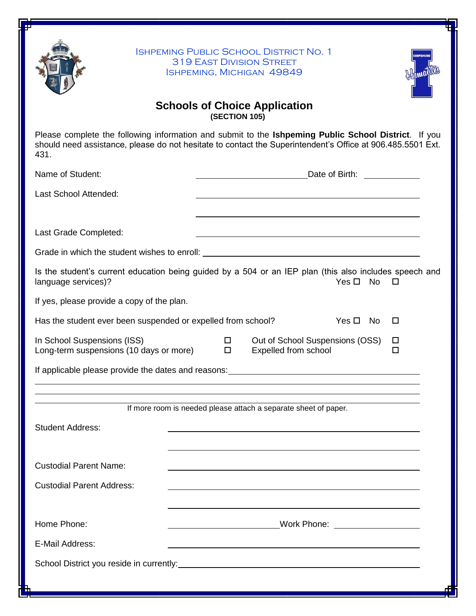

Ishpeming Public School District No. 1 319 East Division Street Ishpeming, Michigan 49849



## **Schools of Choice Application (SECTION 105)**

Please complete the following information and submit to the **Ishpeming Public School District**. If you should need assistance, please do not hesitate to contact the Superintendent's Office at 906.485.5501 Ext. 431.

| Name of Student:                                                                                                                                                                                                                    |             | Date of Birth: Date of Birth: |                                                                 |               |           |                  |  |
|-------------------------------------------------------------------------------------------------------------------------------------------------------------------------------------------------------------------------------------|-------------|-------------------------------|-----------------------------------------------------------------|---------------|-----------|------------------|--|
| Last School Attended:                                                                                                                                                                                                               |             |                               |                                                                 |               |           |                  |  |
| Last Grade Completed:                                                                                                                                                                                                               |             |                               |                                                                 |               |           |                  |  |
|                                                                                                                                                                                                                                     |             |                               |                                                                 |               |           |                  |  |
| Is the student's current education being guided by a 504 or an IEP plan (this also includes speech and<br>language services)?                                                                                                       |             |                               |                                                                 | Yes $\square$ | <b>No</b> | П                |  |
| If yes, please provide a copy of the plan.                                                                                                                                                                                          |             |                               |                                                                 |               |           |                  |  |
| Has the student ever been suspended or expelled from school?                                                                                                                                                                        |             |                               |                                                                 | Yes $\Box$    | No.       | □                |  |
| In School Suspensions (ISS)<br>Long-term suspensions (10 days or more)                                                                                                                                                              | 0<br>$\Box$ |                               | Out of School Suspensions (OSS)<br>Expelled from school         |               |           | $\Box$<br>$\Box$ |  |
| If applicable please provide the dates and reasons: <u>[11] Internal and reasons</u> in the set of the set of the set of the set of the set of the set of the set of the set of the set of the set of the set of the set of the set |             |                               |                                                                 |               |           |                  |  |
|                                                                                                                                                                                                                                     |             |                               |                                                                 |               |           |                  |  |
|                                                                                                                                                                                                                                     |             |                               | If more room is needed please attach a separate sheet of paper. |               |           |                  |  |
| <b>Student Address:</b>                                                                                                                                                                                                             |             |                               |                                                                 |               |           |                  |  |
|                                                                                                                                                                                                                                     |             |                               |                                                                 |               |           |                  |  |
| <b>Custodial Parent Name:</b>                                                                                                                                                                                                       |             |                               |                                                                 |               |           |                  |  |
| <b>Custodial Parent Address:</b>                                                                                                                                                                                                    |             |                               |                                                                 |               |           |                  |  |
|                                                                                                                                                                                                                                     |             |                               |                                                                 |               |           |                  |  |
| Home Phone:                                                                                                                                                                                                                         |             |                               |                                                                 |               |           |                  |  |
| E-Mail Address:                                                                                                                                                                                                                     |             |                               |                                                                 |               |           |                  |  |
|                                                                                                                                                                                                                                     |             |                               |                                                                 |               |           |                  |  |
|                                                                                                                                                                                                                                     |             |                               |                                                                 |               |           |                  |  |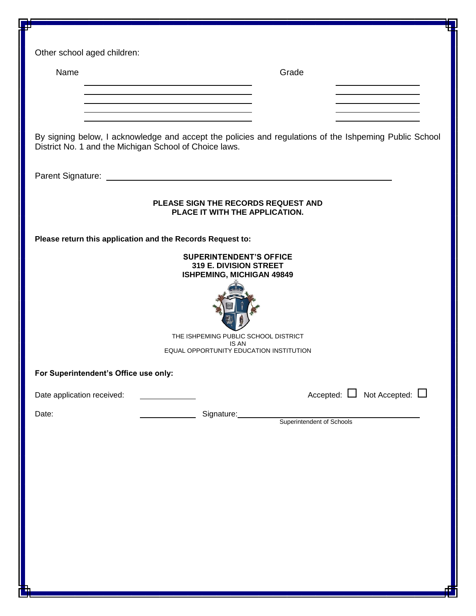| Other school aged children:                                                                                                                                      |                                       |  |  |  |  |  |
|------------------------------------------------------------------------------------------------------------------------------------------------------------------|---------------------------------------|--|--|--|--|--|
| Name                                                                                                                                                             | Grade                                 |  |  |  |  |  |
|                                                                                                                                                                  |                                       |  |  |  |  |  |
|                                                                                                                                                                  |                                       |  |  |  |  |  |
|                                                                                                                                                                  |                                       |  |  |  |  |  |
| By signing below, I acknowledge and accept the policies and regulations of the Ishpeming Public School<br>District No. 1 and the Michigan School of Choice laws. |                                       |  |  |  |  |  |
|                                                                                                                                                                  |                                       |  |  |  |  |  |
|                                                                                                                                                                  |                                       |  |  |  |  |  |
| PLEASE SIGN THE RECORDS REQUEST AND<br>PLACE IT WITH THE APPLICATION.                                                                                            |                                       |  |  |  |  |  |
| Please return this application and the Records Request to:                                                                                                       |                                       |  |  |  |  |  |
| <b>SUPERINTENDENT'S OFFICE</b><br>319 E. DIVISION STREET                                                                                                         |                                       |  |  |  |  |  |
| <b>ISHPEMING, MICHIGAN 49849</b>                                                                                                                                 |                                       |  |  |  |  |  |
|                                                                                                                                                                  |                                       |  |  |  |  |  |
|                                                                                                                                                                  |                                       |  |  |  |  |  |
| THE ISHPEMING PUBLIC SCHOOL DISTRICT<br><b>IS AN</b>                                                                                                             |                                       |  |  |  |  |  |
| EQUAL OPPORTUNITY EDUCATION INSTITUTION                                                                                                                          |                                       |  |  |  |  |  |
| For Superintendent's Office use only:                                                                                                                            |                                       |  |  |  |  |  |
| Date application received:                                                                                                                                       | Accepted: $\Box$ Not Accepted: $\Box$ |  |  |  |  |  |
| Date:                                                                                                                                                            | Signature:                            |  |  |  |  |  |
|                                                                                                                                                                  | Superintendent of Schools             |  |  |  |  |  |
|                                                                                                                                                                  |                                       |  |  |  |  |  |
|                                                                                                                                                                  |                                       |  |  |  |  |  |
|                                                                                                                                                                  |                                       |  |  |  |  |  |
|                                                                                                                                                                  |                                       |  |  |  |  |  |
|                                                                                                                                                                  |                                       |  |  |  |  |  |
|                                                                                                                                                                  |                                       |  |  |  |  |  |
|                                                                                                                                                                  |                                       |  |  |  |  |  |
|                                                                                                                                                                  |                                       |  |  |  |  |  |